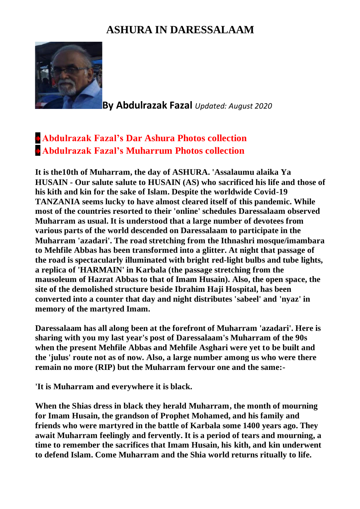## **ASHURA IN DARESSALAAM**



**By Abdulrazak Fazal** *Updated: August 2020*

## **[Abdulrazak Fazal's Dar Ashura Photos collection](http://www.dewani.ca/2020NEW/AF/DarAshura/DarAshuraPics.htm) [Abdulrazak Fazal's Muharrum Photos collection](http://www.dewani.ca/2020NEW/AF/MumMuharum/MumMuharumPics.htm)**

**It is the10th of Muharram, the day of ASHURA. 'Assalaumu alaika Ya HUSAIN - Our salute salute to HUSAIN (AS) who sacrificed his life and those of his kith and kin for the sake of Islam. Despite the worldwide Covid-19 TANZANIA seems lucky to have almost cleared itself of this pandemic. While most of the countries resorted to their 'online' schedules Daressalaam observed Muharram as usual. It is understood that a large number of devotees from various parts of the world descended on Daressalaam to participate in the Muharram 'azadari'. The road stretching from the Ithnashri mosque/imambara to Mehfile Abbas has been transformed into a glitter. At night that passage of the road is spectacularly illuminated with bright red-light bulbs and tube lights, a replica of 'HARMAIN' in Karbala (the passage stretching from the mausoleum of Hazrat Abbas to that of Imam Husain). Also, the open space, the site of the demolished structure beside Ibrahim Haji Hospital, has been converted into a counter that day and night distributes 'sabeel' and 'nyaz' in memory of the martyred Imam.**

**Daressalaam has all along been at the forefront of Muharram 'azadari'. Here is sharing with you my last year's post of Daressalaam's Muharram of the 90s when the present Mehfile Abbas and Mehfile Asghari were yet to be built and the 'julus' route not as of now. Also, a large number among us who were there remain no more (RIP) but the Muharram fervour one and the same:-**

**'It is Muharram and everywhere it is black.**

**When the Shias dress in black they herald Muharram, the month of mourning for Imam Husain, the grandson of Prophet Mohamed, and his family and friends who were martyred in the battle of Karbala some 1400 years ago. They await Muharram feelingly and fervently. It is a period of tears and mourning, a time to remember the sacrifices that Imam Husain, his kith, and kin underwent to defend Islam. Come Muharram and the Shia world returns ritually to life.**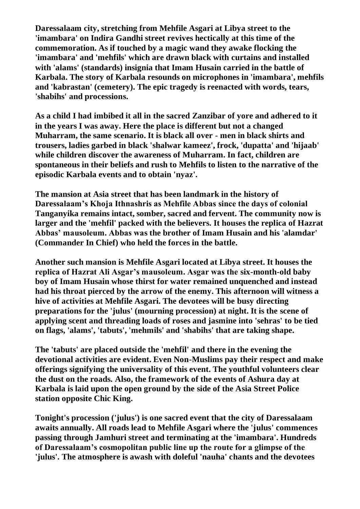**Daressalaam city, stretching from Mehfile Asgari at Libya street to the 'imambara' on Indira Gandhi street revives hectically at this time of the commemoration. As if touched by a magic wand they awake flocking the 'imambara' and 'mehfils' which are drawn black with curtains and installed with 'alams' (standards) insignia that Imam Husain carried in the battle of Karbala. The story of Karbala resounds on microphones in 'imambara', mehfils and 'kabrastan' (cemetery). The epic tragedy is reenacted with words, tears, 'shabihs' and processions.**

**As a child I had imbibed it all in the sacred Zanzibar of yore and adhered to it in the years I was away. Here the place is different but not a changed Muharram, the same scenario. It is black all over - men in black shirts and trousers, ladies garbed in black 'shalwar kameez', frock, 'dupatta' and 'hijaab' while children discover the awareness of Muharram. In fact, children are spontaneous in their beliefs and rush to Mehfils to listen to the narrative of the episodic Karbala events and to obtain 'nyaz'.**

**The mansion at Asia street that has been landmark in the history of Daressalaam's Khoja Ithnashris as Mehfile Abbas since the days of colonial Tanganyika remains intact, somber, sacred and fervent. The community now is larger and the 'mehfil' packed with the believers. It houses the replica of Hazrat Abbas' mausoleum. Abbas was the brother of Imam Husain and his 'alamdar' (Commander In Chief) who held the forces in the battle.**

**Another such mansion is Mehfile Asgari located at Libya street. It houses the replica of Hazrat Ali Asgar's mausoleum. Asgar was the six-month-old baby boy of Imam Husain whose thirst for water remained unquenched and instead had his throat pierced by the arrow of the enemy. This afternoon will witness a hive of activities at Mehfile Asgari. The devotees will be busy directing preparations for the 'julus' (mourning procession) at night. It is the scene of applying scent and threading loads of roses and jasmine into 'sehras' to be tied on flags, 'alams', 'tabuts', 'mehmils' and 'shabihs' that are taking shape.**

**The 'tabuts' are placed outside the 'mehfil' and there in the evening the devotional activities are evident. Even Non-Muslims pay their respect and make offerings signifying the universality of this event. The youthful volunteers clear the dust on the roads. Also, the framework of the events of Ashura day at Karbala is laid upon the open ground by the side of the Asia Street Police station opposite Chic King.**

**Tonight's procession ('julus') is one sacred event that the city of Daressalaam awaits annually. All roads lead to Mehfile Asgari where the 'julus' commences passing through Jamhuri street and terminating at the 'imambara'. Hundreds of Daressalaam's cosmopolitan public line up the route for a glimpse of the 'julus'. The atmosphere is awash with doleful 'nauha' chants and the devotees**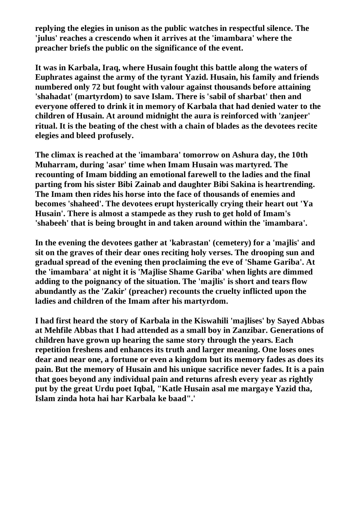**replying the elegies in unison as the public watches in respectful silence. The 'julus' reaches a crescendo when it arrives at the 'imambara' where the preacher briefs the public on the significance of the event.**

**It was in Karbala, Iraq, where Husain fought this battle along the waters of Euphrates against the army of the tyrant Yazid. Husain, his family and friends numbered only 72 but fought with valour against thousands before attaining 'shahadat' (martyrdom) to save Islam. There is 'sabil of sharbat' then and everyone offered to drink it in memory of Karbala that had denied water to the children of Husain. At around midnight the aura is reinforced with 'zanjeer' ritual. It is the beating of the chest with a chain of blades as the devotees recite elegies and bleed profusely.**

**The climax is reached at the 'imambara' tomorrow on Ashura day, the 10th Muharram, during 'asar' time when Imam Husain was martyred. The recounting of Imam bidding an emotional farewell to the ladies and the final parting from his sister Bibi Zainab and daughter Bibi Sakina is heartrending. The Imam then rides his horse into the face of thousands of enemies and becomes 'shaheed'. The devotees erupt hysterically crying their heart out 'Ya Husain'. There is almost a stampede as they rush to get hold of Imam's 'shabeeh' that is being brought in and taken around within the 'imambara'.**

**In the evening the devotees gather at 'kabrastan' (cemetery) for a 'majlis' and sit on the graves of their dear ones reciting holy verses. The drooping sun and gradual spread of the evening then proclaiming the eve of 'Shame Gariba'. At the 'imambara' at night it is 'Majlise Shame Gariba' when lights are dimmed adding to the poignancy of the situation. The 'majlis' is short and tears flow abundantly as the 'Zakir' (preacher) recounts the cruelty inflicted upon the ladies and children of the Imam after his martyrdom.**

**I had first heard the story of Karbala in the Kiswahili 'majlises' by Sayed Abbas at Mehfile Abbas that I had attended as a small boy in Zanzibar. Generations of children have grown up hearing the same story through the years. Each repetition freshens and enhances its truth and larger meaning. One loses ones dear and near one, a fortune or even a kingdom but its memory fades as does its pain. But the memory of Husain and his unique sacrifice never fades. It is a pain that goes beyond any individual pain and returns afresh every year as rightly put by the great Urdu poet Iqbal, "Katle Husain asal me margaye Yazid tha, Islam zinda hota hai har Karbala ke baad".'**